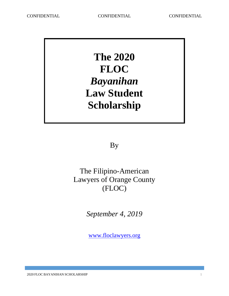**The 2020 FLOC** *Bayanihan* **Law Student Scholarship**

By

The Filipino-American Lawyers of Orange County (FLOC)

*September 4, 2019*

[www.floclawyers.org](http://www.floclawyers.org/)

2020 FLOC BAYANIHAN SCHOLARSHIP 1 2020 FLOC BAYANIHAN SCHOLARSHIP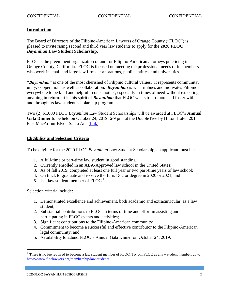# **Introduction**

The Board of Directors of the Filipino-American Lawyers of Orange County ("FLOC") is pleased to invite rising second and third year law students to apply for the **2020 FLOC** *Bayanihan* **Law Student Scholarship**.

FLOC is the preeminent organization of and for Filipino-American attorneys practicing in Orange County, California. FLOC is focused on meeting the professional needs of its members who work in small and large law firms, corporations, public entities, and universities.

*"Bayanihan"* is one of the most cherished of Filipino cultural values. It represents community, unity, cooperation, as well as collaboration. *Bayanihan* is what imbues and motivates Filipinos everywhere to be kind and helpful to one another, especially in times of need without expecting anything in return. It is this spirit of *Bayanihan* that FLOC wants to promote and foster with and through its law student scholarship program.

Two (2) \$1,000 FLOC *Bayanihan* Law Student Scholarships will be awarded at FLOC's **Annual Gala Dinner** to be held on October 24, 2019, 6-9 pm, at the DoubleTree by Hilton Hotel, 201 East MacArthur Blvd., Santa Ana [\(link\)](https://doubletree3.hilton.com/en/hotels/california/doubletree-by-hilton-hotel-santa-ana-orange-county-airport-STAOCDT/index.html).

### **Eligibility and Selection Criteria**

To be eligible for the 2020 FLOC *Bayanihan* Law Student Scholarship, an applicant must be:

- 1. A full-time or part-time law student in good standing;
- 2. Currently enrolled in an ABA-Approved law school in the United States;
- 3. As of fall 2019, completed at least one full year or two part-time years of law school;
- 4. On track to graduate and receive the Juris Doctor degree in 2020 or 2021; and
- 5. Is a law student member of  $FLOC<sup>1</sup>$

Selection criteria include:

 $\overline{a}$ 

- 1. Demonstrated excellence and achievement, both academic and extracurricular, as a law student;
- 2. Substantial contributions to FLOC in terms of time and effort in assisting and participating in FLOC events and activities;
- 3. Significant contributions to the Filipino-American community;
- 4. Commitment to become a successful and effective contributor to the Filipino-American legal community; and
- 5. Availability to attend FLOC's Annual Gala Dinner on October 24, 2019.

 $1$  There is no fee required to become a law student member of FLOC. To join FLOC as a law student member, go to <https://www.floclawyers.org/membership/law-students>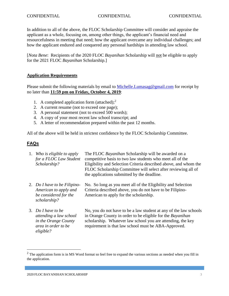### CONFIDENTIAL CONFIDENTIAL CONFIDENTIAL

In addition to all of the above, the FLOC Scholarship Committee will consider and appraise the applicant as a whole, focusing on, among other things, the applicant's financial need and resourcefulness in meeting that need; how the applicant overcame any individual challenges; and how the applicant endured and conquered any personal hardships in attending law school.

[*Nota Bene*: Recipients of the 2020 FLOC *Bayanihan* Scholarship will not be eligible to apply for the 2021 FLOC *Bayanihan* Scholarship.]

# **Application Requirements**

Please submit the following materials by email to [Michelle.Lumasag@gmail.com](mailto:Michelle@usilg.net) for receipt by no later than **11:59 pm on Friday, October 4, 2019**:

- 1. A completed application form (attached);<sup>2</sup>
- 2. A current resume (not to exceed one page);
- 3. A personal statement (not to exceed 500 words);
- 4. A copy of your most recent law school transcript; and
- 5. A letter of recommendation prepared within the past 12 months.

All of the above will be held in strictest confidence by the FLOC Scholarship Committee.

# **FAQs**

 $\overline{a}$ 

| 1. Who is eligible to apply<br>for a FLOC Law Student<br>Scholarship?                                    | The FLOC Bayanihan Scholarship will be awarded on a<br>competitive basis to two law students who meet all of the<br>Eligibility and Selection Criteria described above, and whom the<br>FLOC Scholarship Committee will select after reviewing all of<br>the applications submitted by the deadline. |
|----------------------------------------------------------------------------------------------------------|------------------------------------------------------------------------------------------------------------------------------------------------------------------------------------------------------------------------------------------------------------------------------------------------------|
| 2. Do I have to be Filipino-<br>American to apply and<br>be considered for the<br>scholarship?           | No. So long as you meet all of the Eligibility and Selection<br>Criteria described above, you do not have to be Filipino-<br>American to apply for the scholarship.                                                                                                                                  |
| 3. Do I have to be<br>attending a law school<br>in the Orange County<br>area in order to be<br>eligible? | No, you do not have to be a law student at any of the law schools<br>in Orange County in order to be eligible for the Bayanihan<br>scholarship. Whatever law school you are attending, the key<br>requirement is that law school must be ABA-Approved.                                               |

 $2$  The application form is in MS Word format so feel free to expand the various sections as needed when you fill in the application.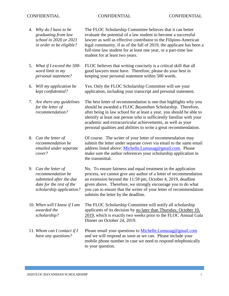# CONFIDENTIAL CONFIDENTIAL CONFIDENTIAL

| 4. | Why do I have to be<br>graduating from law<br>school in 2020 or 2021<br>in order to be eligible?                             | The FLOC Scholarship Committee believes that it can better<br>evaluate the potential of a law student to become a successful<br>lawyer as well as effective contributor to the Filipino-American<br>legal community, if as of the fall of 2019, the applicant has been a<br>full-time law student for at least one year, or a part-time law<br>student for at least two years.                                   |
|----|------------------------------------------------------------------------------------------------------------------------------|------------------------------------------------------------------------------------------------------------------------------------------------------------------------------------------------------------------------------------------------------------------------------------------------------------------------------------------------------------------------------------------------------------------|
| 5. | What if I exceed the 500-<br>word limit in my<br>personal statement?                                                         | FLOC believes that writing concisely is a critical skill that all<br>good lawyers must have. Therefore, please do your best in<br>keeping your personal statement within 500 words.                                                                                                                                                                                                                              |
| 6. | Will my application be<br>kept confidential?                                                                                 | Yes. Only the FLOC Scholarship Committee will see your<br>application, including your transcript and personal statement.                                                                                                                                                                                                                                                                                         |
|    | 7. Are there any guidelines<br>for the letter of<br>recommendation?                                                          | The best letter of recommendation is one that highlights why you<br>should be awarded a FLOC Bayanihan Scholarship. Therefore,<br>after being in law school for at least a year, you should be able to<br>identify at least one person who is sufficiently familiar with your<br>academic and extracurricular achievements, as well as your<br>personal qualities and abilities to write a great recommendation. |
|    | 8. Can the letter of<br>recommendation be<br>emailed under separate<br>cover?                                                | Of course. The writer of your letter of recommendation may<br>submit the letter under separate cover via email to the same email<br>address listed above: Michelle.Lumasag@gmail.com. Please<br>make sure the author references your scholarship application in<br>the transmittal.                                                                                                                              |
|    | 9. Can the letter of<br>recommendation be<br>submitted after the due<br>date for the rest of the<br>scholarship application? | No. To ensure fairness and equal treatment in the application<br>process, we cannot give any author of a letter of recommendation<br>an extension beyond the 11:59 pm, October 4, 2019, deadline<br>given above. Therefore, we strongly encourage you to do what<br>you can to ensure that the writer of your letter of recommendation<br>submits the letter by the deadline.                                    |
|    | 10. When will I know if I am<br>awarded the<br>scholarship?                                                                  | The FLOC Scholarship Committee will notify all scholarship<br>applicants of its decision by no later than Thursday, October 10,<br>2019, which is exactly two weeks prior to the FLOC Annual Gala<br>Dinner on October 24, 2019.                                                                                                                                                                                 |
|    | 11. Whom can I contact if I<br>have any questions?                                                                           | Please email your questions to Michelle. Lumasag@gmail.com<br>and we will respond as soon as we can. Please include your<br>mobile phone number in case we need to respond telephonically<br>to your question.                                                                                                                                                                                                   |

 $\mathcal{L}(\mathcal{L}(\mathcal{L}(\mathcal{L}(\mathcal{L}(\mathcal{L}(\mathcal{L}(\mathcal{L}(\mathcal{L}(\mathcal{L}(\mathcal{L}(\mathcal{L}(\mathcal{L}(\mathcal{L}(\mathcal{L}(\mathcal{L}(\mathcal{L}(\mathcal{L}(\mathcal{L}(\mathcal{L}(\mathcal{L}(\mathcal{L}(\mathcal{L}(\mathcal{L}(\mathcal{L}(\mathcal{L}(\mathcal{L}(\mathcal{L}(\mathcal{L}(\mathcal{L}(\mathcal{L}(\mathcal{L}(\mathcal{L}(\mathcal{L}(\mathcal{L}(\mathcal{L}(\mathcal{$ 

a sa kacamatan ing Kabupatèn Kabupatèn Kabupatèn Kabupatèn Kabupatèn Kabupatèn Kabupatèn Kabupatèn Kabupatèn K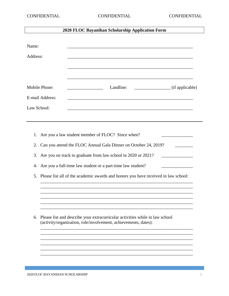# **2020 FLOC Bayanihan Scholarship Application Form**

| Address:<br>Mobile Phone:<br>E-mail Address:<br>Law School:<br>1.<br>2.<br>3.<br>4.<br>5. | Landline:<br>(if applicable)<br>and the control of the control of the control of the control of the control of the control of the control of the<br>Are you a law student member of FLOC? Since when?<br>Can you attend the FLOC Annual Gala Dinner on October 24, 2019?<br>Are you on track to graduate from law school in 2020 or 2021? |
|-------------------------------------------------------------------------------------------|-------------------------------------------------------------------------------------------------------------------------------------------------------------------------------------------------------------------------------------------------------------------------------------------------------------------------------------------|
|                                                                                           |                                                                                                                                                                                                                                                                                                                                           |
|                                                                                           |                                                                                                                                                                                                                                                                                                                                           |
|                                                                                           |                                                                                                                                                                                                                                                                                                                                           |
|                                                                                           |                                                                                                                                                                                                                                                                                                                                           |
|                                                                                           |                                                                                                                                                                                                                                                                                                                                           |
|                                                                                           |                                                                                                                                                                                                                                                                                                                                           |
|                                                                                           |                                                                                                                                                                                                                                                                                                                                           |
|                                                                                           |                                                                                                                                                                                                                                                                                                                                           |
|                                                                                           |                                                                                                                                                                                                                                                                                                                                           |
|                                                                                           |                                                                                                                                                                                                                                                                                                                                           |
|                                                                                           | Are you a full-time law student or a part-time law student?                                                                                                                                                                                                                                                                               |
|                                                                                           | Please list all of the academic awards and honors you have received in law school:                                                                                                                                                                                                                                                        |
|                                                                                           |                                                                                                                                                                                                                                                                                                                                           |
|                                                                                           |                                                                                                                                                                                                                                                                                                                                           |
|                                                                                           |                                                                                                                                                                                                                                                                                                                                           |
| 6.                                                                                        | Please list and describe your extracurricular activities while in law school<br>(activity/organization, role/involvement, achievements, dates):                                                                                                                                                                                           |
|                                                                                           |                                                                                                                                                                                                                                                                                                                                           |
|                                                                                           |                                                                                                                                                                                                                                                                                                                                           |
|                                                                                           |                                                                                                                                                                                                                                                                                                                                           |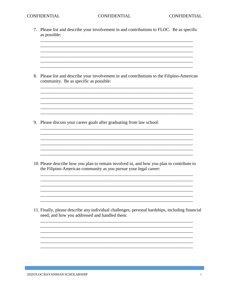7. Please list and describe your involvement in and contributions to FLOC. Be as specific as possible:

<u> 1989 - Johann Stoff, deutscher Stoff, der Stoff, der Stoff, der Stoff, der Stoff, der Stoff, der Stoff, der S</u>

8. Please list and describe your involvement in and contributions to the Filipino-American community. Be as specific as possible:

<u> 1989 - Johann Stoff, deutscher Stoffen und der Stoffen und der Stoffen und der Stoffen und der Stoffen und de</u>

<u> 1989 - Johann Stoff, deutscher Stoffen und der Stoffen und der Stoffen und der Stoffen und der Stoffen und de</u> <u> 1989 - Johann John Stone, mars and deutscher Stone († 1989)</u> and the control of the control of the control of the control of the control of the control of the control of the

<u> 1989 - Johann John Stone, Amerikaansk politiker (\* 1989)</u>

9. Please discuss your career goals after graduating from law school:

10. Please describe how you plan to remain involved in, and how you plan to contribute to the Filipino-American community as you pursue your legal career:

11. Finally, please describe any individual challenges, personal hardships, including financial need, and how you addressed and handled them:

a sa mga bangay na mga bangay na mga bangay ng mga bangay ng mga bangay ng mga bangay ng mga bangay ng mga ban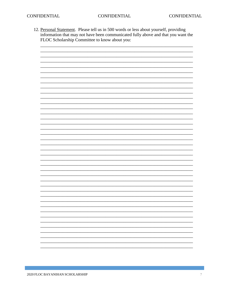12. Personal Statement. Please tell us in 500 words or less about yourself, providing information that may not have been communicated fully above and that you want the FLOC Scholarship Committee to know about you:



a sa mga bangay na mga bangay na mga bangay ng mga bangay ng mga bangay ng mga bangay ng mga bangay ng mga ban